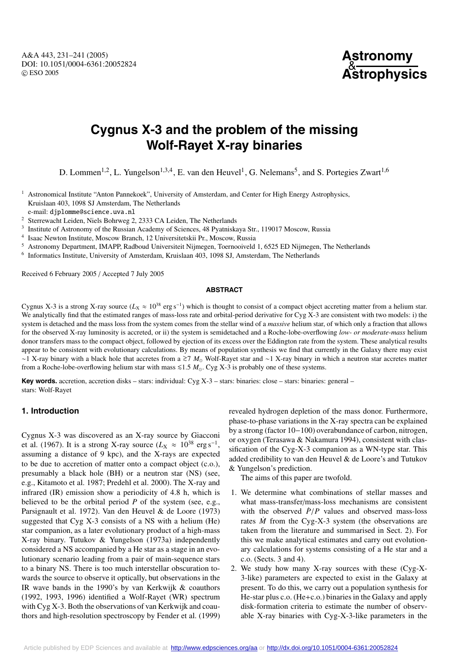A&A 443, 231–241 (2005) DOI: 10.1051/0004-6361:20052824 c ESO 2005

# **Astronomy** & **Astrophysics**

# **Cygnus X-3 and the problem of the missing Wolf-Rayet X-ray binaries**

D. Lommen<sup>1,2</sup>, L. Yungelson<sup>1,3,4</sup>, E. van den Heuvel<sup>1</sup>, G. Nelemans<sup>5</sup>, and S. Portegies Zwart<sup>1,6</sup>

<sup>1</sup> Astronomical Institute "Anton Pannekoek", University of Amsterdam, and Center for High Energy Astrophysics, Kruislaan 403, 1098 SJ Amsterdam, The Netherlands e-mail: djplomme@science.uva.nl

<sup>2</sup> Sterrewacht Leiden, Niels Bohrweg 2, 2333 CA Leiden, The Netherlands

<sup>3</sup> Institute of Astronomy of the Russian Academy of Sciences, 48 Pyatniskaya Str., 119017 Moscow, Russia

- <sup>4</sup> Isaac Newton Institute, Moscow Branch, 12 Universitetskii Pr., Moscow, Russia
- <sup>5</sup> Astronomy Department, IMAPP, Radboud Universiteit Nijmegen, Toernooiveld 1, 6525 ED Nijmegen, The Netherlands

<sup>6</sup> Informatics Institute, University of Amsterdam, Kruislaan 403, 1098 SJ, Amsterdam, The Netherlands

Received 6 February 2005 / Accepted 7 July 2005

#### **ABSTRACT**

Cygnus X-3 is a strong X-ray source ( $L_X \approx 10^{38}$  erg s<sup>-1</sup>) which is thought to consist of a compact object accreting matter from a helium star. We analytically find that the estimated ranges of mass-loss rate and orbital-period derivative for Cyg X-3 are consistent with two models: i) the system is detached and the mass loss from the system comes from the stellar wind of a *massive* helium star, of which only a fraction that allows for the observed X-ray luminosity is accreted, or ii) the system is semidetached and a Roche-lobe-overflowing *low- or moderate-mass* helium donor transfers mass to the compact object, followed by ejection of its excess over the Eddington rate from the system. These analytical results appear to be consistent with evolutionary calculations. By means of population synthesis we find that currently in the Galaxy there may exist ∼1 X-ray binary with a black hole that accretes from a  $\gtrsim 7$  *M*<sub>©</sub> Wolf-Rayet star and ∼1 X-ray binary in which a neutron star accretes matter from a Roche-lobe-overflowing helium star with mass  $\leq 1.5 M_{\odot}$ . Cyg X-3 is probably one of these systems.

**Key words.** accretion, accretion disks – stars: individual: Cyg X-3 – stars: binaries: close – stars: binaries: general – stars: Wolf-Rayet

# **1. Introduction**

Cygnus X-3 was discovered as an X-ray source by Giacconi et al. (1967). It is a strong X-ray source ( $L_X \approx 10^{38} \text{ erg s}^{-1}$ , assuming a distance of 9 kpc), and the X-rays are expected to be due to accretion of matter onto a compact object (c.o.), presumably a black hole (BH) or a neutron star (NS) (see, e.g., Kitamoto et al. 1987; Predehl et al. 2000). The X-ray and infrared (IR) emission show a periodicity of 4.8 h, which is believed to be the orbital period *P* of the system (see, e.g., Parsignault et al. 1972). Van den Heuvel & de Loore (1973) suggested that Cyg X-3 consists of a NS with a helium (He) star companion, as a later evolutionary product of a high-mass X-ray binary. Tutukov & Yungelson (1973a) independently considered a NS accompanied by a He star as a stage in an evolutionary scenario leading from a pair of main-sequence stars to a binary NS. There is too much interstellar obscuration towards the source to observe it optically, but observations in the IR wave bands in the 1990's by van Kerkwijk & coauthors (1992, 1993, 1996) identified a Wolf-Rayet (WR) spectrum with Cyg X-3. Both the observations of van Kerkwijk and coauthors and high-resolution spectroscopy by Fender et al. (1999)

revealed hydrogen depletion of the mass donor. Furthermore, phase-to-phase variations in the X-ray spectra can be explained by a strong (factor 10−100) overabundance of carbon, nitrogen, or oxygen (Terasawa & Nakamura 1994), consistent with classification of the Cyg-X-3 companion as a WN-type star. This added credibility to van den Heuvel & de Loore's and Tutukov & Yungelson's prediction.

The aims of this paper are twofold.

- 1. We determine what combinations of stellar masses and what mass-transfer/mass-loss mechanisms are consistent with the observed  $\dot{P}/P$  values and observed mass-loss rates  $\dot{M}$  from the Cyg-X-3 system (the observations are taken from the literature and summarised in Sect. 2). For this we make analytical estimates and carry out evolutionary calculations for systems consisting of a He star and a c.o. (Sects. 3 and 4).
- 2. We study how many X-ray sources with these (Cyg-X-3-like) parameters are expected to exist in the Galaxy at present. To do this, we carry out a population synthesis for He-star plus c.o. (He+c.o.) binaries in the Galaxy and apply disk-formation criteria to estimate the number of observable X-ray binaries with Cyg-X-3-like parameters in the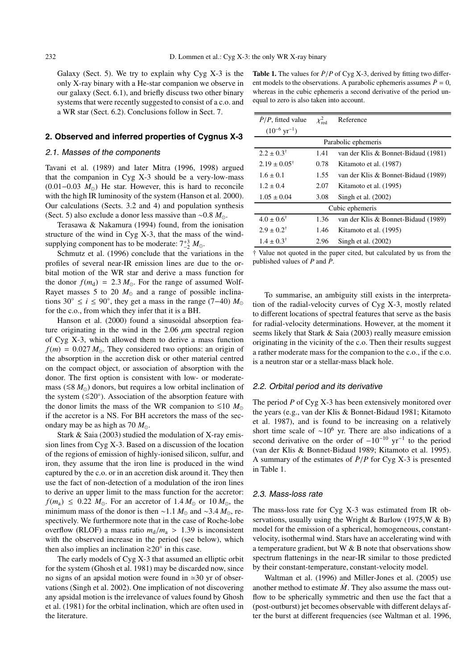Galaxy (Sect. 5). We try to explain why Cyg  $X-3$  is the only X-ray binary with a He-star companion we observe in our galaxy (Sect. 6.1), and briefly discuss two other binary systems that were recently suggested to consist of a c.o. and a WR star (Sect. 6.2). Conclusions follow in Sect. 7.

## **2. Observed and inferred properties of Cygnus X-3**

## 2.1. Masses of the components

Tavani et al. (1989) and later Mitra (1996, 1998) argued that the companion in Cyg X-3 should be a very-low-mass (0.01−0.03 *M*) He star. However, this is hard to reconcile with the high IR luminosity of the system (Hanson et al. 2000). Our calculations (Sects. 3.2 and 4) and population synthesis (Sect. 5) also exclude a donor less massive than ∼0.8 *M*.

Terasawa & Nakamura (1994) found, from the ionisation structure of the wind in Cyg X-3, that the mass of the windsupplying component has to be moderate:  $7^{+3}_{-2}$   $M_{\odot}$ .

Schmutz et al. (1996) conclude that the variations in the profiles of several near-IR emission lines are due to the orbital motion of the WR star and derive a mass function for the donor  $f(m_d) = 2.3 M_{\odot}$ . For the range of assumed Wolf-Rayet masses 5 to 20  $M_{\odot}$  and a range of possible inclinations 30°  $\leq i \leq 90^\circ$ , they get a mass in the range (7–40)  $M_\odot$ for the c.o., from which they infer that it is a BH.

Hanson et al. (2000) found a sinusoidal absorption feature originating in the wind in the 2.06  $\mu$ m spectral region of Cyg X-3, which allowed them to derive a mass function  $f(m) = 0.027 M_{\odot}$ . They considered two options: an origin of the absorption in the accretion disk or other material centred on the compact object, or association of absorption with the donor. The first option is consistent with low- or moderatemass (≤8 *M*<sub>☉</sub>) donors, but requires a low orbital inclination of the system  $(\leq 20^\circ)$ . Association of the absorption feature with the donor limits the mass of the WR companion to  $\leq 10$  *M*. if the accretor is a NS. For BH accretors the mass of the secondary may be as high as 70  $M_{\odot}$ .

Stark & Saia (2003) studied the modulation of X-ray emission lines from Cyg X-3. Based on a discussion of the location of the regions of emission of highly-ionised silicon, sulfur, and iron, they assume that the iron line is produced in the wind captured by the c.o. or in an accretion disk around it. They then use the fact of non-detection of a modulation of the iron lines to derive an upper limit to the mass function for the accretor:  $f(m_a) \leq 0.22$   $M_\odot$ . For an accretor of  $1.4 M_\odot$  or  $10 M_\odot$ , the minimum mass of the donor is then ~1.1  $M_{\odot}$  and ~3.4  $M_{\odot}$ , respectively. We furthermore note that in the case of Roche-lobe overflow (RLOF) a mass ratio  $m_d/m_a > 1.39$  is inconsistent with the observed increase in the period (see below), which then also implies an inclination <sup>&</sup>gt;∼20◦ in this case.

The early models of Cyg X-3 that assumed an elliptic orbit for the system (Ghosh et al. 1981) may be discarded now, since no signs of an apsidal motion were found in  $\approx 30$  yr of observations (Singh et al. 2002). One implication of not discovering any apsidal motion is the irrelevance of values found by Ghosh et al. (1981) for the orbital inclination, which are often used in the literature.

| <b>Table 1.</b> The values for $\dot{P}/P$ of Cyg X-3, derived by fitting two differ- |
|---------------------------------------------------------------------------------------|
| ent models to the observations. A parabolic ephemeris assumes $\ddot{P} = 0$ ,        |
| whereas in the cubic ephemeris a second derivative of the period un-                  |
| equal to zero is also taken into account.                                             |

| $\dot{P}/P$ , fitted value  | $\chi^2_{\rm red}$ | Reference                           |  |  |
|-----------------------------|--------------------|-------------------------------------|--|--|
| $(10^{-6} \text{ yr}^{-1})$ |                    |                                     |  |  |
| Parabolic ephemeris         |                    |                                     |  |  |
| $2.2 \pm 0.3^{\dagger}$     | 1.41               | van der Klis & Bonnet-Bidaud (1981) |  |  |
| $2.19 \pm 0.05^{\dagger}$   | 0.78               | Kitamoto et al. (1987)              |  |  |
| $1.6 \pm 0.1$               | 1.55               | van der Klis & Bonnet-Bidaud (1989) |  |  |
| $1.2 \pm 0.4$               | 2.07               | Kitamoto et al. (1995)              |  |  |
| $1.05 \pm 0.04$             | 3.08               | Singh et al. $(2002)$               |  |  |
| Cubic ephemeris             |                    |                                     |  |  |
| $4.0 \pm 0.6^{\dagger}$     | 1.36               | van der Klis & Bonnet-Bidaud (1989) |  |  |
| $2.9 \pm 0.2^{\dagger}$     | 1.46               | Kitamoto et al. (1995)              |  |  |
| $1.4 \pm 0.3^{\dagger}$     | 2.96               | Singh et al. $(2002)$               |  |  |

† Value not quoted in the paper cited, but calculated by us from the published values of  $P$  and  $\dot{P}$ .

To summarise, an ambiguity still exists in the interpretation of the radial-velocity curves of Cyg X-3, mostly related to different locations of spectral features that serve as the basis for radial-velocity determinations. However, at the moment it seems likely that Stark & Saia (2003) really measure emission originating in the vicinity of the c.o. Then their results suggest a rather moderate mass for the companion to the c.o., if the c.o. is a neutron star or a stellar-mass black hole.

## 2.2. Orbital period and its derivative

The period *P* of Cyg X-3 has been extensively monitored over the years (e.g., van der Klis & Bonnet-Bidaud 1981; Kitamoto et al. 1987), and is found to be increasing on a relatively short time scale of  $\sim 10^6$  yr. There are also indications of a second derivative on the order of  $-10^{-10}$  yr<sup>-1</sup> to the period (van der Klis & Bonnet-Bidaud 1989; Kitamoto et al. 1995). A summary of the estimates of  $\dot{P}/P$  for Cyg X-3 is presented in Table 1.

#### 2.3. Mass-loss rate

The mass-loss rate for Cyg X-3 was estimated from IR observations, usually using the Wright & Barlow (1975,  $W \& B$ ) model for the emission of a spherical, homogeneous, constantvelocity, isothermal wind. Stars have an accelerating wind with a temperature gradient, but W & B note that observations show spectrum flattenings in the near-IR similar to those predicted by their constant-temperature, constant-velocity model.

Waltman et al. (1996) and Miller-Jones et al. (2005) use another method to estimate  $\dot{M}$ . They also assume the mass outflow to be spherically symmetric and then use the fact that a (post-outburst) jet becomes observable with different delays after the burst at different frequencies (see Waltman et al. 1996,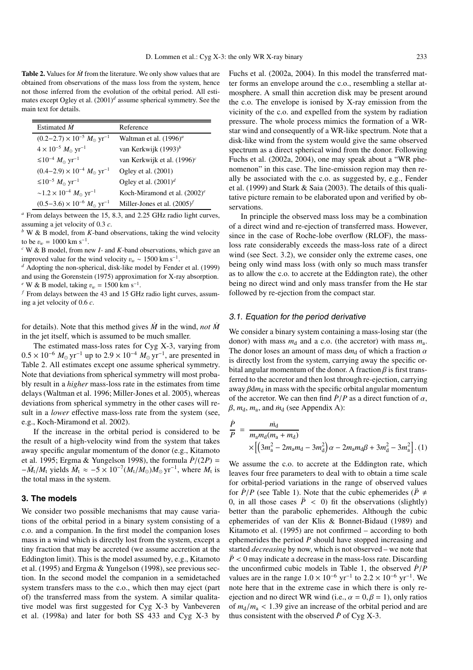**Table 2.** Values for  $\dot{M}$  from the literature. We only show values that are obtained from observations of the mass loss from the system, hence not those inferred from the evolution of the orbital period. All estimates except Ogley et al. (2001)*<sup>d</sup>* assume spherical symmetry. See the main text for details.

| Estimated $\dot{M}$                                        | Reference                       |
|------------------------------------------------------------|---------------------------------|
| $(0.2-2.7) \times 10^{-5}$ $M_{\odot}$ yr <sup>-1</sup>    | Waltman et al. $(1996)^{a}$     |
| $4 \times 10^{-5} M_{\odot} \text{ yr}^{-1}$               | van Kerkwijk $(1993)^b$         |
| $\leq 10^{-4}$ $M_{\odot}$ yr <sup>-1</sup>                | van Kerkwijk et al. $(1996)^c$  |
| $(0.4-2.9) \times 10^{-4}$ $M_{\odot}$ yr <sup>-1</sup>    | Ogley et al. (2001)             |
| $≤10^{-5} M_{\odot}$ yr <sup>-1</sup>                      | Ogley et al. $(2001)^d$         |
| $\sim$ 1.2 × 10 <sup>-4</sup> $M_{\odot}$ yr <sup>-1</sup> | Koch-Miramond et al. $(2002)^e$ |
| $(0.5-3.6) \times 10^{-6}$ $M_{\odot}$ yr <sup>-1</sup>    | Miller-Jones et al. $(2005)^f$  |

*<sup>a</sup>* From delays between the 15, 8.3, and 2.25 GHz radio light curves, assuming a jet velocity of 0.3 *c*.

*<sup>b</sup>* W & B model, from *K*-band observations, taking the wind velocity to be  $v_w = 1000$  km s<sup>-1</sup>.

<sup>*c*</sup> W & B model, from new *I*- and *K*-band observations, which gave an improved value for the wind velocity  $v_w \sim 1500 \text{ km s}^{-1}$ .

<sup>d</sup> Adopting the non-spherical, disk-like model by Fender et al. (1999) and using the Gorenstein (1975) approximation for X-ray absorption. *e* W & B model, taking  $v_w$  = 1500 km s<sup>−1</sup>.

*<sup>f</sup>* From delays between the 43 and 15 GHz radio light curves, assuming a jet velocity of 0.6 *c*.

for details). Note that this method gives  $\dot{M}$  in the wind, *not*  $\dot{M}$ in the jet itself, which is assumed to be much smaller.

The estimated mass-loss rates for Cyg X-3, varying from  $0.5 \times 10^{-6}$   $M_{\odot}$  yr<sup>-1</sup> up to 2.9 × 10<sup>-4</sup>  $M_{\odot}$  yr<sup>-1</sup>, are presented in Table 2. All estimates except one assume spherical symmetry. Note that deviations from spherical symmetry will most probably result in a *higher* mass-loss rate in the estimates from time delays (Waltman et al. 1996; Miller-Jones et al. 2005), whereas deviations from spherical symmetry in the other cases will result in a *lower* effective mass-loss rate from the system (see, e.g., Koch-Miramond et al. 2002).

If the increase in the orbital period is considered to be the result of a high-velocity wind from the system that takes away specific angular momentum of the donor (e.g., Kitamoto et al. 1995; Ergma & Yungelson 1998), the formula  $\dot{P}/(2P)$  =  $-\dot{M}_t/M_t$  yields  $\dot{M}_t \approx -5 \times 10^{-7} (M_t/M_\odot) M_\odot \text{ yr}^{-1}$ , where  $M_t$  is the total mass in the system.

#### **3. The models**

We consider two possible mechanisms that may cause variations of the orbital period in a binary system consisting of a c.o. and a companion. In the first model the companion loses mass in a wind which is directly lost from the system, except a tiny fraction that may be accreted (we assume accretion at the Eddington limit). This is the model assumed by, e.g., Kitamoto et al. (1995) and Ergma & Yungelson (1998), see previous section. In the second model the companion in a semidetached system transfers mass to the c.o., which then may eject (part of) the transferred mass from the system. A similar qualitative model was first suggested for Cyg X-3 by Vanbeveren et al. (1998a) and later for both SS 433 and Cyg X-3 by

Fuchs et al. (2002a, 2004). In this model the transferred matter forms an envelope around the c.o., resembling a stellar atmosphere. A small thin accretion disk may be present around the c.o. The envelope is ionised by X-ray emission from the vicinity of the c.o. and expelled from the system by radiation pressure. The whole process mimics the formation of a WRstar wind and consequently of a WR-like spectrum. Note that a disk-like wind from the system would give the same observed spectrum as a direct spherical wind from the donor. Following Fuchs et al. (2002a, 2004), one may speak about a "WR phenomenon" in this case. The line-emission region may then really be associated with the c.o. as suggested by, e.g., Fender et al. (1999) and Stark & Saia (2003). The details of this qualitative picture remain to be elaborated upon and verified by observations.

In principle the observed mass loss may be a combination of a direct wind and re-ejection of transferred mass. However, since in the case of Roche-lobe overflow (RLOF), the massloss rate considerably exceeds the mass-loss rate of a direct wind (see Sect. 3.2), we consider only the extreme cases, one being only wind mass loss (with only so much mass transfer as to allow the c.o. to accrete at the Eddington rate), the other being no direct wind and only mass transfer from the He star followed by re-ejection from the compact star.

## 3.1. Equation for the period derivative

We consider a binary system containing a mass-losing star (the donor) with mass  $m_d$  and a c.o. (the accretor) with mass  $m_a$ . The donor loses an amount of mass  $dm_d$  of which a fraction  $\alpha$ is directly lost from the system, carrying away the specific orbital angular momentum of the donor. A fraction  $\beta$  is first transferred to the accretor and then lost through re-ejection, carrying away  $\beta dm_d$  in mass with the specific orbital angular momentum of the accretor. We can then find  $\dot{P}/P$  as a direct function of  $\alpha$ ,  $\beta$ ,  $m_d$ ,  $m_a$ , and  $\dot{m}_d$  (see Appendix A):

$$
\frac{\dot{P}}{P} = \frac{\dot{m}_{\rm d}}{m_{\rm a}m_{\rm d}(m_{\rm a} + m_{\rm d})} \times \left[ \left( 3m_{\rm a}^2 - 2m_{\rm a}m_{\rm d} - 3m_{\rm d}^2 \right) \alpha - 2m_{\rm a}m_{\rm d}\beta + 3m_{\rm d}^2 - 3m_{\rm a}^2 \right]. (1)
$$

We assume the c.o. to accrete at the Eddington rate, which leaves four free parameters to deal with to obtain a time scale for orbital-period variations in the range of observed values for  $\dot{P}/P$  (see Table 1). Note that the cubic ephemerides ( $\ddot{P} \neq$ 0, in all those cases  $\ddot{P}$  < 0) fit the observations (slightly) better than the parabolic ephemerides. Although the cubic ephemerides of van der Klis & Bonnet-Bidaud (1989) and Kitamoto et al. (1995) are not confirmed – according to both ephemerides the period *P* should have stopped increasing and started *decreasing* by now, which is not observed – we note that  $\ddot{P}$  < 0 may indicate a decrease in the mass-loss rate. Discarding the unconfirmed cubic models in Table 1, the observed  $\dot{P}/P$ values are in the range  $1.0 \times 10^{-6}$  yr<sup>-1</sup> to  $2.2 \times 10^{-6}$  yr<sup>-1</sup>. We note here that in the extreme case in which there is only reejection and no direct WR wind (i.e.,  $\alpha = 0, \beta = 1$ ), only ratios of  $m_d/m_a < 1.39$  give an increase of the orbital period and are thus consistent with the observed  $\dot{P}$  of Cyg X-3.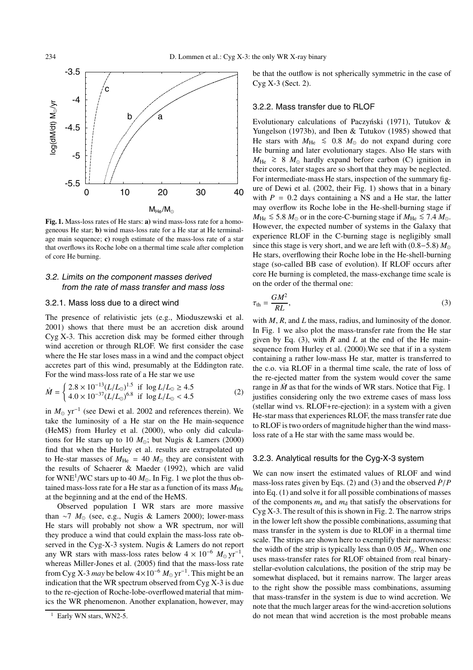

**Fig. 1.** Mass-loss rates of He stars: **a)** wind mass-loss rate for a homogeneous He star; **b)** wind mass-loss rate for a He star at He terminalage main sequence; **c)** rough estimate of the mass-loss rate of a star that overflows its Roche lobe on a thermal time scale after completion of core He burning.

# 3.2. Limits on the component masses derived from the rate of mass transfer and mass loss

#### 3.2.1. Mass loss due to a direct wind

The presence of relativistic jets (e.g., Mioduszewski et al. 2001) shows that there must be an accretion disk around Cyg X-3. This accretion disk may be formed either through wind accretion or through RLOF. We first consider the case where the He star loses mass in a wind and the compact object accretes part of this wind, presumably at the Eddington rate. For the wind mass-loss rate of a He star we use

$$
\dot{M} = \begin{cases} 2.8 \times 10^{-13} (L/L_{\odot})^{1.5} & \text{if } \log L/L_{\odot} \ge 4.5\\ 4.0 \times 10^{-37} (L/L_{\odot})^{6.8} & \text{if } \log L/L_{\odot} < 4.5 \end{cases}
$$
(2)

in *M*<sub>○</sub> yr<sup>-1</sup> (see Dewi et al. 2002 and references therein). We take the luminosity of a He star on the He main-sequence (HeMS) from Hurley et al. (2000), who only did calculations for He stars up to 10  $M_{\odot}$ ; but Nugis & Lamers (2000) find that when the Hurley et al. results are extrapolated up to He-star masses of  $M_{\text{He}} = 40 M_{\odot}$  they are consistent with the results of Schaerer & Maeder (1992), which are valid for WNE<sup>1</sup>/WC stars up to 40  $M_{\odot}$ . In Fig. 1 we plot the thus obtained mass-loss rate for a He star as a function of its mass  $M_{\text{He}}$ at the beginning and at the end of the HeMS.

Observed population I WR stars are more massive than ∼7 *M*<sub>☉</sub> (see, e.g., Nugis & Lamers 2000); lower-mass He stars will probably not show a WR spectrum, nor will they produce a wind that could explain the mass-loss rate observed in the Cyg-X-3 system. Nugis & Lamers do not report any WR stars with mass-loss rates below  $4 \times 10^{-6}$   $M_{\odot}$  yr<sup>-1</sup>, whereas Miller-Jones et al. (2005) find that the mass-loss rate from Cyg X-3 *may* be below  $4 \times 10^{-6}$   $M_{\odot}$  yr<sup>-1</sup>. This might be an indication that the WR spectrum observed from Cyg X-3 is due to the re-ejection of Roche-lobe-overflowed material that mimics the WR phenomenon. Another explanation, however, may be that the outflow is not spherically symmetric in the case of Cyg X-3 (Sect. 2).

#### 3.2.2. Mass transfer due to RLOF

Evolutionary calculations of Paczyński (1971), Tutukov & Yungelson (1973b), and Iben & Tutukov (1985) showed that He stars with  $M_{\text{He}}$  ≤ 0.8  $M_{\odot}$  do not expand during core He burning and later evolutionary stages. Also He stars with *M*<sub>He</sub>  $\geq 8$  *M*<sub>○</sub> hardly expand before carbon (C) ignition in their cores, later stages are so short that they may be neglected. For intermediate-mass He stars, inspection of the summary figure of Dewi et al. (2002, their Fig. 1) shows that in a binary with  $P = 0.2$  days containing a NS and a He star, the latter may overflow its Roche lobe in the He-shell-burning stage if  $M_{\text{He}}$  ≤ 5.8  $M_{\odot}$  or in the core-C-burning stage if  $M_{\text{He}}$  ≤ 7.4  $M_{\odot}$ . However, the expected number of systems in the Galaxy that experience RLOF in the C-burning stage is negligibly small since this stage is very short, and we are left with (0.8−5.8) *M* He stars, overflowing their Roche lobe in the He-shell-burning stage (so-called BB case of evolution). If RLOF occurs after core He burning is completed, the mass-exchange time scale is on the order of the thermal one:

$$
\tau_{\text{th}} = \frac{GM^2}{RL},\tag{3}
$$

with *M*, *R*, and *L* the mass, radius, and luminosity of the donor. In Fig. 1 we also plot the mass-transfer rate from the He star given by Eq. (3), with *R* and *L* at the end of the He mainsequence from Hurley et al. (2000).We see that if in a system containing a rather low-mass He star, matter is transferred to the c.o. via RLOF in a thermal time scale, the rate of loss of the re-ejected matter from the system would cover the same range in  $\dot{M}$  as that for the winds of WR stars. Notice that Fig. 1 justifies considering only the two extreme cases of mass loss (stellar wind vs. RLOF+re-ejection): in a system with a given He-star mass that experiences RLOF, the mass transfer rate due to RLOF is two orders of magnitude higher than the wind massloss rate of a He star with the same mass would be.

## 3.2.3. Analytical results for the Cyg-X-3 system

We can now insert the estimated values of RLOF and wind mass-loss rates given by Eqs. (2) and (3) and the observed  $\dot{P}/P$ into Eq. (1) and solve it for all possible combinations of masses of the components  $m_a$  and  $m_d$  that satisfy the observations for Cyg X-3. The result of this is shown in Fig. 2. The narrow strips in the lower left show the possible combinations, assuming that mass transfer in the system is due to RLOF in a thermal time scale. The strips are shown here to exemplify their narrowness: the width of the strip is typically less than 0.05  $M_{\odot}$ . When one uses mass-transfer rates for RLOF obtained from real binarystellar-evolution calculations, the position of the strip may be somewhat displaced, but it remains narrow. The larger areas to the right show the possible mass combinations, assuming that mass-transfer in the system is due to wind accretion. We note that the much larger areas for the wind-accretion solutions do not mean that wind accretion is the most probable means

<sup>&</sup>lt;sup>1</sup> Early WN stars, WN2-5.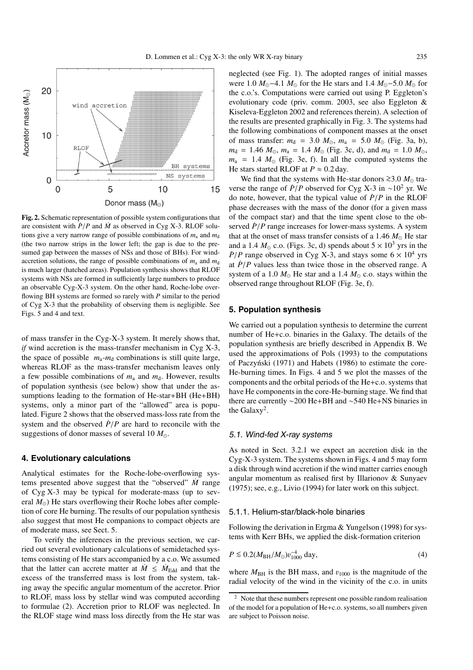

**Fig. 2.** Schematic representation of possible system configurations that are consistent with  $\dot{P}/P$  and  $\dot{M}$  as observed in Cyg X-3. RLOF solutions give a very narrow range of possible combinations of  $m_a$  and  $m_d$ (the two narrow strips in the lower left; the gap is due to the presumed gap between the masses of NSs and those of BHs). For windaccretion solutions, the range of possible combinations of  $m_a$  and  $m_d$ is much larger (hatched areas). Population synthesis shows that RLOF systems with NSs are formed in sufficiently large numbers to produce an observable Cyg-X-3 system. On the other hand, Roche-lobe overflowing BH systems are formed so rarely with *P* similar to the period of Cyg X-3 that the probability of observing them is negligible. See Figs. 5 and 4 and text.

of mass transfer in the Cyg-X-3 system. It merely shows that, *if* wind accretion is the mass-transfer mechanism in Cyg X-3, the space of possible  $m_a$ - $m_d$  combinations is still quite large, whereas RLOF as the mass-transfer mechanism leaves only a few possible combinations of  $m_a$  and  $m_d$ . However, results of population synthesis (see below) show that under the assumptions leading to the formation of He-star+BH (He+BH) systems, only a minor part of the "allowed" area is populated. Figure 2 shows that the observed mass-loss rate from the system and the observed  $\dot{P}/P$  are hard to reconcile with the suggestions of donor masses of several 10  $M_{\odot}$ .

## **4. Evolutionary calculations**

Analytical estimates for the Roche-lobe-overflowing systems presented above suggest that the "observed" *M*˙ range of Cyg X-3 may be typical for moderate-mass (up to several  $M_{\odot}$ ) He stars overflowing their Roche lobes after completion of core He burning. The results of our population synthesis also suggest that most He companions to compact objects are of moderate mass, see Sect. 5.

To verify the inferences in the previous section, we carried out several evolutionary calculations of semidetached systems consisting of He stars accompanied by a c.o. We assumed that the latter can accrete matter at  $\dot{M} \leq \dot{M}_{\text{Edd}}$  and that the excess of the transferred mass is lost from the system, taking away the specific angular momentum of the accretor. Prior to RLOF, mass loss by stellar wind was computed according to formulae (2). Accretion prior to RLOF was neglected. In the RLOF stage wind mass loss directly from the He star was

neglected (see Fig. 1). The adopted ranges of initial masses were 1.0  $M_{\odot}$ −4.1  $M_{\odot}$  for the He stars and 1.4  $M_{\odot}$ −5.0  $M_{\odot}$  for the c.o.'s. Computations were carried out using P. Eggleton's evolutionary code (priv. comm. 2003, see also Eggleton & Kiseleva-Eggleton 2002 and references therein). A selection of the results are presented graphically in Fig. 3. The systems had the following combinations of component masses at the onset of mass transfer:  $m_d$  = 3.0  $M_{\odot}$ ,  $m_a$  = 5.0  $M_{\odot}$  (Fig. 3a, b),  $m_d$  = 1.46  $M_{\odot}$ ,  $m_a$  = 1.4  $M_{\odot}$  (Fig. 3c, d), and  $m_d$  = 1.0  $M_{\odot}$ ,  $m_a$  = 1.4  $M_\odot$  (Fig. 3e, f). In all the computed systems the He stars started RLOF at  $P \approx 0.2$  day.

We find that the systems with He-star donors  $\geq$ 3.0 *M*<sub>o</sub> traverse the range of  $\dot{P}/P$  observed for Cyg X-3 in ~10<sup>2</sup> yr. We do note, however, that the typical value of  $\dot{P}/P$  in the RLOF phase decreases with the mass of the donor (for a given mass of the compact star) and that the time spent close to the observed  $\dot{P}/P$  range increases for lower-mass systems. A system that at the onset of mass transfer consists of a 1.46  $M_{\odot}$  He star and a 1.4  $M_{\odot}$  c.o. (Figs. 3c, d) spends about  $5 \times 10^3$  yrs in the  $\dot{P}/P$  range observed in Cyg X-3, and stays some  $6 \times 10^4$  yrs at  $\dot{P}/P$  values less than twice those in the observed range. A system of a 1.0  $M_{\odot}$  He star and a 1.4  $M_{\odot}$  c.o. stays within the observed range throughout RLOF (Fig. 3e, f).

## **5. Population synthesis**

We carried out a population synthesis to determine the current number of He+c.o. binaries in the Galaxy. The details of the population synthesis are briefly described in Appendix B. We used the approximations of Pols (1993) to the computations of Paczyński (1971) and Habets (1986) to estimate the core-He-burning times. In Figs. 4 and 5 we plot the masses of the components and the orbital periods of the He+c.o. systems that have He components in the core-He-burning stage. We find that there are currently ∼200 He+BH and ∼540 He+NS binaries in the Galaxy<sup>2</sup>.

#### 5.1. Wind-fed X-ray systems

As noted in Sect. 3.2.1 we expect an accretion disk in the Cyg-X-3 system. The systems shown in Figs. 4 and 5 may form a disk through wind accretion if the wind matter carries enough angular momentum as realised first by Illarionov & Sunyaev (1975); see, e.g., Livio (1994) for later work on this subject.

## 5.1.1. Helium-star/black-hole binaries

Following the derivation in Ergma & Yungelson (1998) for systems with Kerr BHs, we applied the disk-formation criterion

$$
P \lesssim 0.2(M_{\rm BH}/M_{\odot})v_{1000}^{-4} \, \text{day},\tag{4}
$$

where  $M_{BH}$  is the BH mass, and  $v_{1000}$  is the magnitude of the radial velocity of the wind in the vicinity of the c.o. in units

<sup>2</sup> Note that these numbers represent one possible random realisation of the model for a population of He+c.o. systems, so all numbers given are subject to Poisson noise.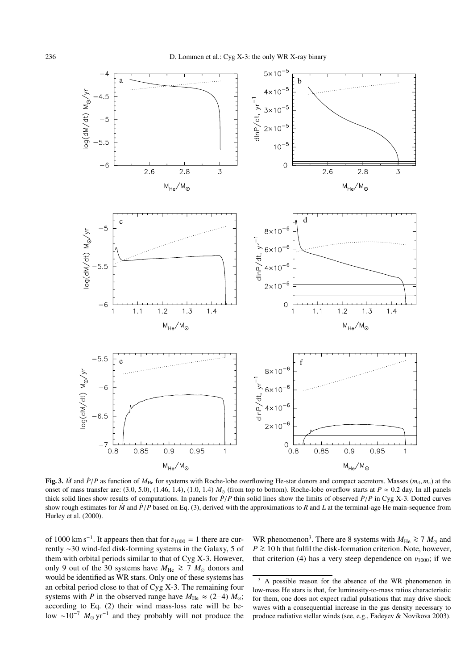

**Fig. 3.**  $\dot{M}$  and  $\dot{P}/P$  as function of  $M_{\text{He}}$  for systems with Roche-lobe overflowing He-star donors and compact accretors. Masses  $(m_{\text{d}}, m_{\text{a}})$  at the onset of mass transfer are: (3.0, 5.0), (1.46, 1.4), (1.0, 1.4)  $M_{\odot}$  (from top to bottom). Roche-lobe overflow starts at  $P \approx 0.2$  day. In all panels thick solid lines show results of computations. In panels for  $\dot{P}/P$  thin solid lines show the limits of observed  $\dot{P}/P$  in Cyg X-3. Dotted curves show rough estimates for  $\dot{M}$  and  $\dot{P}/P$  based on Eq. (3), derived with the approximations to  $R$  and  $L$  at the terminal-age He main-sequence from Hurley et al. (2000).

of 1000 km s<sup>-1</sup>. It appears then that for  $v_{1000} = 1$  there are currently ∼30 wind-fed disk-forming systems in the Galaxy, 5 of them with orbital periods similar to that of Cyg X-3. However, only 9 out of the 30 systems have  $M_{\text{He}}$  ≥ 7  $M_{\odot}$  donors and would be identified as WR stars. Only one of these systems has an orbital period close to that of Cyg X-3. The remaining four systems with *P* in the observed range have  $M_{\text{He}} \approx (2-4) M_{\odot}$ ; according to Eq. (2) their wind mass-loss rate will be below ~10<sup>-7</sup>  $M_{\odot}$  yr<sup>-1</sup> and they probably will not produce the

WR phenomenon<sup>3</sup>. There are 8 systems with  $M_{\text{He}} \ge 7 M_{\odot}$  and *P* ≥ 10 h that fulfil the disk-formation criterion. Note, however, that criterion (4) has a very steep dependence on  $v_{1000}$ ; if we

 $3 \text{ A}$  possible reason for the absence of the WR phenomenon in low-mass He stars is that, for luminosity-to-mass ratios characteristic for them, one does not expect radial pulsations that may drive shock waves with a consequential increase in the gas density necessary to produce radiative stellar winds (see, e.g., Fadeyev & Novikova 2003).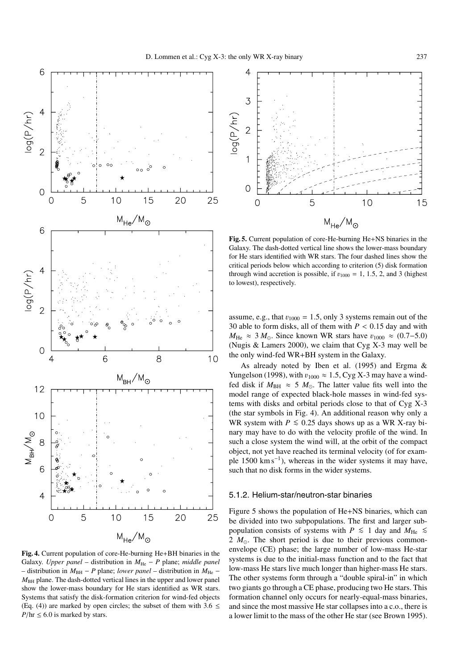

**Fig. 4.** Current population of core-He-burning He+BH binaries in the Galaxy. *Upper panel* – distribution in  $M_{He}$  – *P* plane; *middle panel* – distribution in *M*BH − *P* plane; *lower panel* – distribution in *M*He −  $M<sub>BH</sub>$  plane. The dash-dotted vertical lines in the upper and lower panel show the lower-mass boundary for He stars identified as WR stars. Systems that satisfy the disk-formation criterion for wind-fed objects (Eq. (4)) are marked by open circles; the subset of them with 3.6  $\leq$  $P/\text{hr} \leq 6.0$  is marked by stars.



**Fig. 5.** Current population of core-He-burning He+NS binaries in the Galaxy. The dash-dotted vertical line shows the lower-mass boundary for He stars identified with WR stars. The four dashed lines show the critical periods below which according to criterion (5) disk formation through wind accretion is possible, if  $v_{1000} = 1$ , 1.5, 2, and 3 (highest to lowest), respectively.

assume, e.g., that  $v_{1000} = 1.5$ , only 3 systems remain out of the 30 able to form disks, all of them with  $P < 0.15$  day and with  $M_{\text{He}} \approx 3 M_{\odot}$ . Since known WR stars have  $v_{1000} \approx (0.7-\overline{5.0})$ (Nugis & Lamers 2000), we claim that Cyg X-3 may well be the only wind-fed WR+BH system in the Galaxy.

As already noted by Iben et al. (1995) and Ergma & Yungelson (1998), with  $v_{1000} \approx 1.5$ , Cyg X-3 may have a windfed disk if  $M_{\text{BH}} \approx 5 M_{\odot}$ . The latter value fits well into the model range of expected black-hole masses in wind-fed systems with disks and orbital periods close to that of Cyg X-3 (the star symbols in Fig. 4). An additional reason why only a WR system with  $P \le 0.25$  days shows up as a WR X-ray binary may have to do with the velocity profile of the wind. In such a close system the wind will, at the orbit of the compact object, not yet have reached its terminal velocity (of for example 1500 km s<sup>-1</sup>), whereas in the wider systems it may have, such that no disk forms in the wider systems.

#### 5.1.2. Helium-star/neutron-star binaries

Figure 5 shows the population of He+NS binaries, which can be divided into two subpopulations. The first and larger subpopulation consists of systems with *P*  $\leq$  1 day and *M*<sub>He</sub>  $\leq$ 2  $M_{\odot}$ . The short period is due to their previous commonenvelope (CE) phase; the large number of low-mass He-star systems is due to the initial-mass function and to the fact that low-mass He stars live much longer than higher-mass He stars. The other systems form through a "double spiral-in" in which two giants go through a CE phase, producing two He stars. This formation channel only occurs for nearly-equal-mass binaries, and since the most massive He star collapses into a c.o., there is a lower limit to the mass of the other He star (see Brown 1995).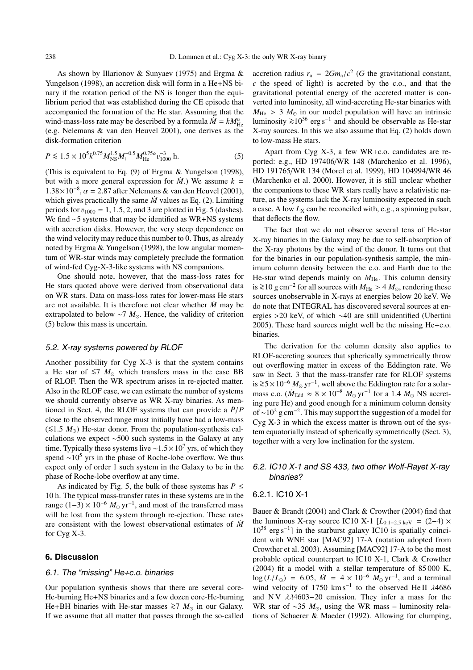As shown by Illarionov & Sunyaev (1975) and Ergma & Yungelson (1998), an accretion disk will form in a He+NS binary if the rotation period of the NS is longer than the equilibrium period that was established during the CE episode that accompanied the formation of the He star. Assuming that the wind-mass-loss rate may be described by a formula  $\dot{M} = kM_{\text{He}}^{\alpha}$ (e.g. Nelemans & van den Heuvel 2001), one derives as the disk-formation criterion

$$
P \lesssim 1.5 \times 10^5 k^{0.75} M_{\rm NS}^{1.5} M_{\rm t}^{-0.5} M_{\rm He}^{0.75 \alpha} v_{1000}^{-3} \text{ h.}
$$
 (5)

(This is equivalent to Eq. (9) of Ergma & Yungelson (1998), but with a more general expression for  $\dot{M}$ .) We assume  $k =$ 1.38×10<sup>-8</sup>,  $\alpha = 2.87$  after Nelemans & van den Heuvel (2001), which gives practically the same  $\dot{M}$  values as Eq. (2). Limiting periods for  $v_{1000} = 1, 1.5, 2,$  and 3 are plotted in Fig. 5 (dashes). We find ∼5 systems that may be identified as WR+NS systems with accretion disks. However, the very steep dependence on the wind velocity may reduce this number to 0. Thus, as already noted by Ergma & Yungelson (1998), the low angular momentum of WR-star winds may completely preclude the formation of wind-fed Cyg-X-3-like systems with NS companions.

One should note, however, that the mass-loss rates for He stars quoted above were derived from observational data on WR stars. Data on mass-loss rates for lower-mass He stars are not available. It is therefore not clear whether  $\dot{M}$  may be extrapolated to below  $\sim$ 7 *M*<sub> $\odot$ </sub>. Hence, the validity of criterion (5) below this mass is uncertain.

#### 5.2. X-ray systems powered by RLOF

Another possibility for Cyg X-3 is that the system contains a He star of  $≤7$  *M*<sub>○</sub> which transfers mass in the case BB of RLOF. Then the WR spectrum arises in re-ejected matter. Also in the RLOF case, we can estimate the number of systems we should currently observe as WR X-ray binaries. As mentioned in Sect. 4, the RLOF systems that can provide a  $\dot{P}/P$ close to the observed range must initially have had a low-mass (≤1.5 *M*<sub>☉</sub>) He-star donor. From the population-synthesis calculations we expect ∼500 such systems in the Galaxy at any time. Typically these systems live ~1.5 × 10<sup>7</sup> yrs, of which they spend  $\sim 10^5$  yrs in the phase of Roche-lobe overflow. We thus expect only of order 1 such system in the Galaxy to be in the phase of Roche-lobe overflow at any time.

As indicated by Fig. 5, the bulk of these systems has  $P \leq$ 10 h. The typical mass-transfer rates in these systems are in the range (1–3) × 10<sup>-6</sup>  $M_{\odot}$  yr<sup>-1</sup>, and most of the transferred mass will be lost from the system through re-ejection. These rates are consistent with the lowest observational estimates of  $\dot{M}$ for Cyg X-3.

#### **6. Discussion**

#### 6.1. The "missing" He+c.o. binaries

Our population synthesis shows that there are several core-He-burning He+NS binaries and a few dozen core-He-burning He+BH binaries with He-star masses  $\ge 7$  *M*<sub>o</sub> in our Galaxy. If we assume that all matter that passes through the so-called accretion radius  $r_a = 2Gm_a/c^2$  (*G* the gravitational constant, *c* the speed of light) is accreted by the c.o., and that the gravitational potential energy of the accreted matter is converted into luminosity, all wind-accreting He-star binaries with  $M_{\text{He}}$  > 3  $M_{\odot}$  in our model population will have an intrinsic luminosity  $\geq 10^{36}$  erg s<sup>-1</sup> and should be observable as He-star X-ray sources. In this we also assume that Eq. (2) holds down to low-mass He stars.

Apart from Cyg X-3, a few WR+c.o. candidates are reported: e.g., HD 197406/WR 148 (Marchenko et al. 1996), HD 191765/WR 134 (Morel et al. 1999), HD 104994/WR 46 (Marchenko et al. 2000). However, it is still unclear whether the companions to these WR stars really have a relativistic nature, as the systems lack the X-ray luminosity expected in such a case. A low  $L<sub>X</sub>$  can be reconciled with, e.g., a spinning pulsar, that deflects the flow.

The fact that we do not observe several tens of He-star X-ray binaries in the Galaxy may be due to self-absorption of the X-ray photons by the wind of the donor. It turns out that for the binaries in our population-synthesis sample, the minimum column density between the c.o. and Earth due to the He-star wind depends mainly on  $M_{\text{He}}$ . This column density is  $\geq$ 10 g cm<sup>-2</sup> for all sources with *M*<sub>He</sub> > 4 *M*<sub>☉</sub>, rendering these sources unobservable in X-rays at energies below 20 keV. We do note that INTEGRAL has discovered several sources at energies >20 keV, of which ∼40 are still unidentified (Ubertini 2005). These hard sources might well be the missing He+c.o. binaries.

The derivation for the column density also applies to RLOF-accreting sources that spherically symmetrically throw out overflowing matter in excess of the Eddington rate. We saw in Sect. 3 that the mass-transfer rate for RLOF systems is  $\ge 5 \times 10^{-6}$  *M*<sub>☉</sub> yr<sup>-1</sup>, well above the Eddington rate for a solarmass c.o. ( $\dot{M}_{\text{Edd}} \approx 8 \times 10^{-8} M_{\odot} \text{ yr}^{-1}$  for a 1.4  $M_{\odot}$  NS accreting pure He) and good enough for a minimum column density of ~10<sup>2</sup> g cm<sup>-2</sup>. This may support the suggestion of a model for Cyg X-3 in which the excess matter is thrown out of the system equatorially instead of spherically symmetrically (Sect. 3), together with a very low inclination for the system.

# 6.2. IC10 X-1 and SS 433, two other Wolf-Rayet X-ray binaries?

## 6.2.1. IC10 X-1

Bauer & Brandt (2004) and Clark & Crowther (2004) find that the luminous X-ray source IC10 X-1  $[L_{0.1-2.5 \text{ keV}} = (2-4) \times$  $10^{38}$  erg s<sup>-1</sup>] in the starburst galaxy IC10 is spatially coincident with WNE star [MAC92] 17-A (notation adopted from Crowther et al. 2003). Assuming [MAC92] 17-A to be the most probable optical counterpart to IC10 X-1, Clark & Crowther (2004) fit a model with a stellar temperature of 85 000 K,  $\log(L/L_{\odot})$  = 6.05,  $\dot{M} = 4 \times 10^{-6} M_{\odot} \text{ yr}^{-1}$ , and a terminal wind velocity of 1750 km s<sup>-1</sup> to the observed He II  $\lambda$ 4686 and NV  $\lambda\lambda$ 4603−20 emission. They infer a mass for the WR star of ~35  $M_{\odot}$ , using the WR mass – luminosity relations of Schaerer & Maeder (1992). Allowing for clumping,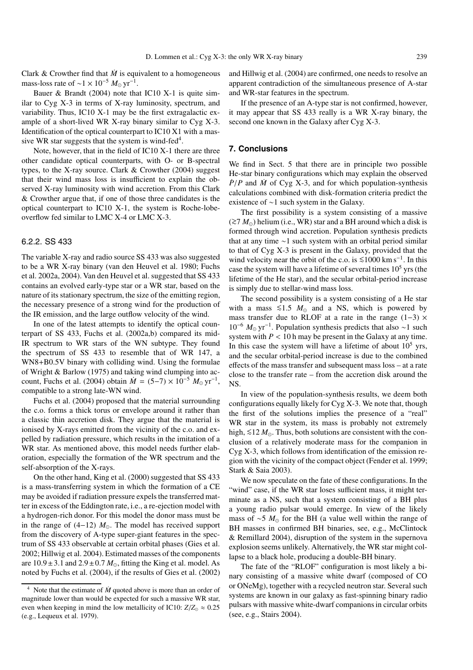Clark & Crowther find that  $\dot{M}$  is equivalent to a homogeneous mass-loss rate of ~1 × 10<sup>-5</sup>  $M_{\odot}$  yr<sup>-1</sup>.

Bauer & Brandt (2004) note that IC10 X-1 is quite similar to Cyg X-3 in terms of X-ray luminosity, spectrum, and variability. Thus, IC10 X-1 may be the first extragalactic example of a short-lived WR X-ray binary similar to Cyg X-3. Identification of the optical counterpart to IC10 X1 with a massive WR star suggests that the system is wind-fed<sup>4</sup>.

Note, however, that in the field of IC10 X-1 there are three other candidate optical counterparts, with O- or B-spectral types, to the X-ray source. Clark & Crowther (2004) suggest that their wind mass loss is insufficient to explain the observed X-ray luminosity with wind accretion. From this Clark & Crowther argue that, if one of those three candidates is the optical counterpart to IC10 X-1, the system is Roche-lobeoverflow fed similar to LMC X-4 or LMC X-3.

## 6.2.2. SS 433

The variable X-ray and radio source SS 433 was also suggested to be a WR X-ray binary (van den Heuvel et al. 1980; Fuchs et al. 2002a, 2004). Van den Heuvel et al. suggested that SS 433 contains an evolved early-type star or a WR star, based on the nature of its stationary spectrum, the size of the emitting region, the necessary presence of a strong wind for the production of the IR emission, and the large outflow velocity of the wind.

In one of the latest attempts to identify the optical counterpart of SS 433, Fuchs et al. (2002a,b) compared its mid-IR spectrum to WR stars of the WN subtype. They found the spectrum of SS 433 to resemble that of WR 147, a WN8+B0.5V binary with colliding wind. Using the formulae of Wright & Barlow (1975) and taking wind clumping into account, Fuchs et al. (2004) obtain  $\dot{M} = (5-7) \times 10^{-5} M_{\odot} \text{ yr}^{-1}$ , compatible to a strong late-WN wind.

Fuchs et al. (2004) proposed that the material surrounding the c.o. forms a thick torus or envelope around it rather than a classic thin accretion disk. They argue that the material is ionised by X-rays emitted from the vicinity of the c.o. and expelled by radiation pressure, which results in the imitation of a WR star. As mentioned above, this model needs further elaboration, especially the formation of the WR spectrum and the self-absorption of the X-rays.

On the other hand, King et al. (2000) suggested that SS 433 is a mass-transferring system in which the formation of a CE may be avoided if radiation pressure expels the transferred matter in excess of the Eddington rate, i.e., a re-ejection model with a hydrogen-rich donor. For this model the donor mass must be in the range of  $(4-12)$   $M_{\odot}$ . The model has received support from the discovery of A-type super-giant features in the spectrum of SS 433 observable at certain orbital phases (Gies et al. 2002; Hillwig et al. 2004). Estimated masses of the components are  $10.9 \pm 3.1$  and  $2.9 \pm 0.7$   $M_{\odot}$ , fitting the King et al. model. As noted by Fuchs et al. (2004), if the results of Gies et al. (2002)

and Hillwig et al. (2004) are confirmed, one needs to resolve an apparent contradiction of the simultaneous presence of A-star and WR-star features in the spectrum.

If the presence of an A-type star is not confirmed, however, it may appear that SS 433 really is a WR X-ray binary, the second one known in the Galaxy after Cyg X-3.

#### **7. Conclusions**

We find in Sect. 5 that there are in principle two possible He-star binary configurations which may explain the observed  $\dot{P}/P$  and  $\dot{M}$  of Cyg X-3, and for which population-synthesis calculations combined with disk-formation criteria predict the existence of ∼1 such system in the Galaxy.

The first possibility is a system consisting of a massive (≥7  $M_{\odot}$ ) helium (i.e., WR) star and a BH around which a disk is formed through wind accretion. Population synthesis predicts that at any time ∼1 such system with an orbital period similar to that of Cyg X-3 is present in the Galaxy, provided that the wind velocity near the orbit of the c.o. is  $\leq 1000$  km s<sup>-1</sup>. In this case the system will have a lifetime of several times  $10<sup>5</sup>$  yrs (the lifetime of the He star), and the secular orbital-period increase is simply due to stellar-wind mass loss.

The second possibility is a system consisting of a He star with a mass  $\leq 1.5$  *M*<sub>o</sub> and a NS, which is powered by mass transfer due to RLOF at a rate in the range  $(1-3) \times$ 10<sup>-6</sup> *M*<sub>o</sub> yr<sup>-1</sup>. Population synthesis predicts that also ∼1 such system with  $P < 10$  h may be present in the Galaxy at any time. In this case the system will have a lifetime of about  $10^5$  yrs, and the secular orbital-period increase is due to the combined effects of the mass transfer and subsequent mass loss – at a rate close to the transfer rate – from the accretion disk around the NS.

In view of the population-synthesis results, we deem both configurations equally likely for Cyg X-3. We note that, though the first of the solutions implies the presence of a "real" WR star in the system, its mass is probably not extremely high, ≤12 *M*<sub>o</sub>. Thus, both solutions are consistent with the conclusion of a relatively moderate mass for the companion in Cyg X-3, which follows from identification of the emission region with the vicinity of the compact object (Fender et al. 1999; Stark & Saia 2003).

We now speculate on the fate of these configurations. In the "wind" case, if the WR star loses sufficient mass, it might terminate as a NS, such that a system consisting of a BH plus a young radio pulsar would emerge. In view of the likely mass of ~5  $M_{\odot}$  for the BH (a value well within the range of BH masses in confirmed BH binaries, see, e.g., McClintock & Remillard 2004), disruption of the system in the supernova explosion seems unlikely. Alternatively, the WR star might collapse to a black hole, producing a double-BH binary.

The fate of the "RLOF" configuration is most likely a binary consisting of a massive white dwarf (composed of CO or ONeMg), together with a recycled neutron star. Several such systems are known in our galaxy as fast-spinning binary radio pulsars with massive white-dwarf companions in circular orbits (see, e.g., Stairs 2004).

Note that the estimate of  $\dot{M}$  quoted above is more than an order of magnitude lower than would be expected for such a massive WR star, even when keeping in mind the low metallicity of IC10:  $Z/Z_{\odot} \approx 0.25$ (e.g., Lequeux et al. 1979).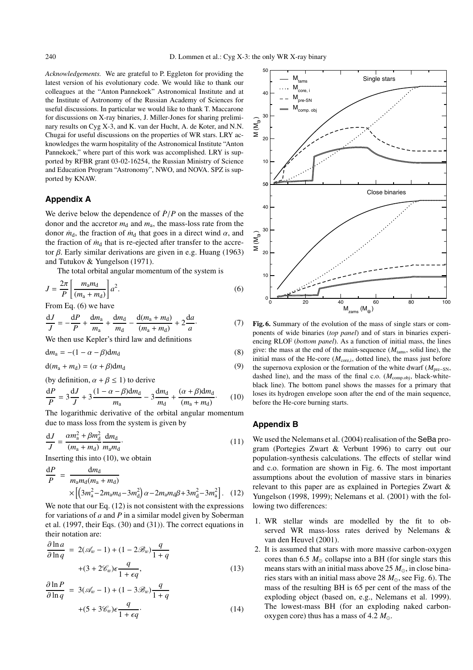*Acknowledgements.* We are grateful to P. Eggleton for providing the latest version of his evolutionary code. We would like to thank our colleagues at the "Anton Pannekoek" Astronomical Institute and at the Institute of Astronomy of the Russian Academy of Sciences for useful discussions. In particular we would like to thank T. Maccarone for discussions on X-ray binaries, J. Miller-Jones for sharing preliminary results on Cyg X-3, and K. van der Hucht, A. de Koter, and N.N. Chugai for useful discussions on the properties of WR stars. LRY acknowledges the warm hospitality of the Astronomical Institute "Anton Pannekoek," where part of this work was accomplished. LRY is supported by RFBR grant 03-02-16254, the Russian Ministry of Science and Education Program "Astronomy", NWO, and NOVA. SPZ is supported by KNAW.

# **Appendix A**

We derive below the dependence of  $\dot{P}/P$  on the masses of the donor and the accretor  $m_d$  and  $m_a$ , the mass-loss rate from the donor  $\dot{m}_d$ , the fraction of  $\dot{m}_d$  that goes in a direct wind  $\alpha$ , and the fraction of  $\dot{m}_d$  that is re-ejected after transfer to the accretor β. Early similar derivations are given in e.g. Huang  $(1963)$ and Tutukov & Yungelson (1971).

The total orbital angular momentum of the system is

$$
J = \frac{2\pi}{P} \left[ \frac{m_a m_d}{(m_a + m_d)} \right] a^2.
$$
 (6)

From Eq. (6) we have

$$
\frac{dJ}{J} = -\frac{dP}{P} + \frac{dm_a}{m_a} + \frac{dm_d}{m_d} - \frac{d(m_a + m_d)}{(m_a + m_d)} + 2\frac{da}{a}.\tag{7}
$$

We then use Kepler's third law and definitions

$$
dm_a = -(1 - \alpha - \beta)dm_d
$$
 (8)

$$
d(m_a + m_d) = (\alpha + \beta)dm_d
$$
\n(9)

(by definition,  $\alpha + \beta \leq 1$ ) to derive

$$
\frac{dP}{P} = 3\frac{dJ}{J} + 3\frac{(1 - \alpha - \beta)dm_d}{m_a} - 3\frac{dm_d}{m_d} + \frac{(\alpha + \beta)dm_d}{(m_a + m_d)}.
$$
 (10)

The logarithmic derivative of the orbital angular momentum due to mass loss from the system is given by

$$
\frac{dJ}{J} = \frac{\alpha m_a^2 + \beta m_d^2}{(m_a + m_d)} \frac{dm_d}{m_a m_d}.
$$
\n
$$
\text{Inserting this into (10), we obtain}
$$
\n(11)

Inserting this into (10), we obtain

$$
\frac{dP}{P} = \frac{dm_d}{m_a m_d (m_a + m_d)} \times \left[ \left( 3m_a^2 - 2m_a m_d - 3m_d^2 \right) \alpha - 2m_a m_d \beta + 3m_d^2 - 3m_a^2 \right].
$$
 (12)

We note that our Eq.  $(12)$  is not consistent with the expressions for variations of *a* and *P* in a similar model given by Soberman et al. (1997, their Eqs. (30) and (31)). The correct equations in their notation are:

$$
\frac{\partial \ln a}{\partial \ln q} = 2(\mathcal{A}_w - 1) + (1 - 2\mathcal{B}_w) \frac{q}{1 + q}
$$

$$
+ (3 + 2\mathcal{C}_w)\epsilon \frac{q}{1 + \epsilon q}, \tag{13}
$$

$$
\frac{\partial \ln P}{\partial \ln q} = 3(\mathcal{A}_w - 1) + (1 - 3\mathcal{B}_w) \frac{q}{1 + q}
$$
  
 
$$
+ (5 + 3\mathcal{C}_w)\epsilon \frac{q}{1 + \epsilon q}.
$$
 (14)



**Fig. 6.** Summary of the evolution of the mass of single stars or components of wide binaries (*top panel*) and of stars in binaries experiencing RLOF (*bottom panel*). As a function of initial mass, the lines give: the mass at the end of the main-sequence (*M*tams, solid line), the initial mass of the He-core  $(M<sub>core,i</sub>, dotted line)$ , the mass just before the supernova explosion or the formation of the white dwarf (*M*pre−SN, dashed line), and the mass of the final c.o.  $(M_{\text{comp.obj}})$ , black-whiteblack line). The bottom panel shows the masses for a primary that loses its hydrogen envelope soon after the end of the main sequence, before the He-core burning starts.

## **Appendix B**

We used the Nelemans et al. (2004) realisation of the SeBa program (Portegies Zwart & Verbunt 1996) to carry out our population-synthesis calculations. The effects of stellar wind and c.o. formation are shown in Fig. 6. The most important assumptions about the evolution of massive stars in binaries relevant to this paper are as explained in Portegies Zwart & Yungelson (1998, 1999); Nelemans et al. (2001) with the following two differences:

- 1. WR stellar winds are modelled by the fit to observed WR mass-loss rates derived by Nelemans & van den Heuvel (2001).
- 2. It is assumed that stars with more massive carbon-oxygen cores than 6.5  $M_{\odot}$  collapse into a BH (for single stars this means stars with an initial mass above  $25 M_{\odot}$ , in close binaries stars with an initial mass above 28  $M_{\odot}$ , see Fig. 6). The mass of the resulting BH is 65 per cent of the mass of the exploding object (based on, e.g., Nelemans et al. 1999). The lowest-mass BH (for an exploding naked carbonoxygen core) thus has a mass of  $4.2 M_{\odot}$ .